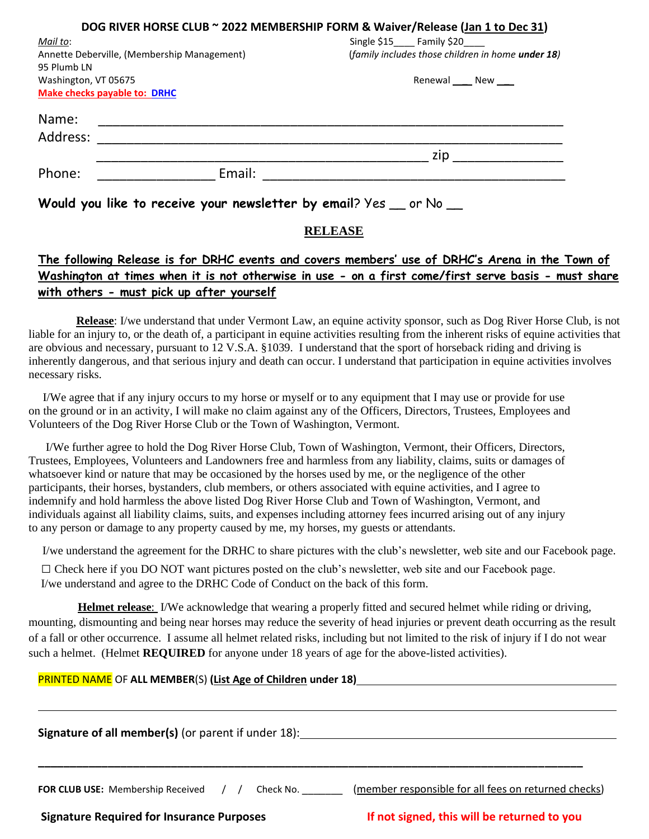|                                                                   | DOG RIVER HORSE CLUB ~ 2022 MEMBERSHIP FORM & Waiver/Release (Jan 1 to Dec 31) |
|-------------------------------------------------------------------|--------------------------------------------------------------------------------|
| Mail to:                                                          | Single \$15 Family \$20                                                        |
| Annette Deberville, (Membership Management)                       | (family includes those children in home under 18)                              |
| 95 Plumb LN                                                       |                                                                                |
| Washington, VT 05675                                              | Renewal _ New _                                                                |
| <b>Make checks payable to: DRHC</b>                               |                                                                                |
| Name:                                                             |                                                                                |
| Address:                                                          |                                                                                |
|                                                                   | zip                                                                            |
| Phone:<br>Email:                                                  |                                                                                |
| Would you like to receive your newsletter by email? Yes _ or No _ |                                                                                |

### **RELEASE**

### **The following Release is for DRHC events and covers members' use of DRHC's Arena in the Town of Washington at times when it is not otherwise in use - on a first come/first serve basis - must share with others - must pick up after yourself**

**Release**: I/we understand that under Vermont Law, an equine activity sponsor, such as Dog River Horse Club, is not liable for an injury to, or the death of, a participant in equine activities resulting from the inherent risks of equine activities that are obvious and necessary, pursuant to 12 V.S.A. §1039. I understand that the sport of horseback riding and driving is inherently dangerous, and that serious injury and death can occur. I understand that participation in equine activities involves necessary risks.

I/We agree that if any injury occurs to my horse or myself or to any equipment that I may use or provide for use on the ground or in an activity, I will make no claim against any of the Officers, Directors, Trustees, Employees and Volunteers of the Dog River Horse Club or the Town of Washington, Vermont.

I/We further agree to hold the Dog River Horse Club, Town of Washington, Vermont, their Officers, Directors, Trustees, Employees, Volunteers and Landowners free and harmless from any liability, claims, suits or damages of whatsoever kind or nature that may be occasioned by the horses used by me, or the negligence of the other participants, their horses, bystanders, club members, or others associated with equine activities, and I agree to indemnify and hold harmless the above listed Dog River Horse Club and Town of Washington, Vermont, and individuals against all liability claims, suits, and expenses including attorney fees incurred arising out of any injury to any person or damage to any property caused by me, my horses, my guests or attendants.

I/we understand the agreement for the DRHC to share pictures with the club's newsletter, web site and our Facebook page.

 $\Box$  Check here if you DO NOT want pictures posted on the club's newsletter, web site and our Facebook page. I/we understand and agree to the DRHC Code of Conduct on the back of this form.

 **Helmet release**: I/We acknowledge that wearing a properly fitted and secured helmet while riding or driving, mounting, dismounting and being near horses may reduce the severity of head injuries or prevent death occurring as the result of a fall or other occurrence. I assume all helmet related risks, including but not limited to the risk of injury if I do not wear such a helmet. (Helmet **REQUIRED** for anyone under 18 years of age for the above-listed activities).

#### PRINTED NAME OF **ALL MEMBER**(S) **(List Age of Children under 18)**

| <b>Signature of all member(s)</b> (or parent if under 18): |                                                                   |  |
|------------------------------------------------------------|-------------------------------------------------------------------|--|
|                                                            |                                                                   |  |
| <b>FOR CLUB USE:</b> Membership Received                   | (member responsible for all fees on returned checks)<br>Check No. |  |

**Signature Required for Insurance Purposes If not signed, this will be returned to you**